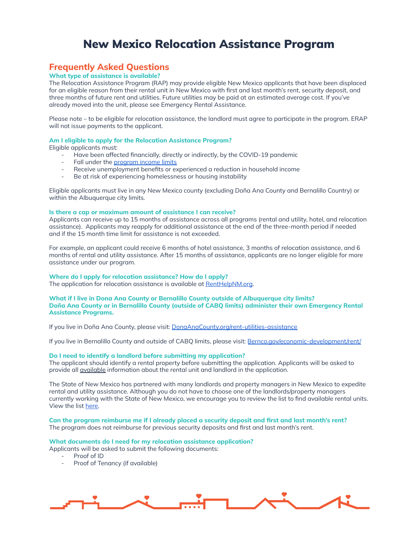# New Mexico Relocation Assistance Program

# **Frequently Asked Questions**

# **What type of assistance is available?**

The Relocation Assistance Program (RAP) may provide eligible New Mexico applicants that have been displaced for an eligible reason from their rental unit in New Mexico with first and last month's rent, security deposit, and three months of future rent and utilities. Future utilities may be paid at an estimated average cost. If you've already moved into the unit, please see Emergency Rental Assistance.

Please note – to be eligible for relocation assistance, the landlord must agree to participate in the program. ERAP will not issue payments to the applicant.

#### **Am I eligible to apply for the Relocation Assistance Program?**

Eligible applicants must:

- Have been affected financially, directly or indirectly, by the COVID-19 pandemic
- Fall under the [program](https://www.renthelpnm.org/wp-content/uploads/2021/05/Income_Limits.pdf) income limits
- Receive unemployment benefits or experienced a reduction in household income
- Be at risk of experiencing homelessness or housing instability

Eligible applicants must live in any New Mexico county (excluding Doña Ana County and Bernalillo Country) or within the Albuquerque city limits.

#### **Is there a cap or maximum amount of assistance I can receive?**

Applicants can receive up to 15 months of assistance across all programs (rental and utility, hotel, and relocation assistance). Applicants may reapply for additional assistance at the end of the three-month period if needed and if the 15 month time limit for assistance is not exceeded.

For example, an applicant could receive 6 months of hotel assistance, 3 months of relocation assistance, and 6 months of rental and utility assistance. After 15 months of assistance, applicants are no longer eligible for more assistance under our program.

#### **Where do I apply for relocation assistance? How do I apply?**

The application for relocation assistance is available at **[RentHelpNM.org](https://www.renthelpnm.org/)**.

#### **What if I live in Dona Ana County or Bernalillo County outside of Albuquerque city limits? Doña Ana County or in Bernalillo County (outside of CABQ limits) administer their own Emergency Rental Assistance Programs.**

If you live in Doña Ana County, please visit: [DonaAnaCounty.org/rent-utilities-assistance](https://www.donaanacounty.org/rent-utilities-assistance)

If you live in Bernalillo County and outside of CABQ limits, please visit: [Bernco.gov/economic-development/rent/](https://www.bernco.gov/economic-development/rent/)

#### **Do I need to identify a landlord before submitting my application?**

The applicant should identify a rental property before submitting the application. Applicants will be asked to provide all available information about the rental unit and landlord in the application.

The State of New Mexico has partnered with many landlords and property managers in New Mexico to expedite rental and utility assistance. Although you do not have to choose one of the landlords/property managers currently working with the State of New Mexico, we encourage you to review the list to find available rental units. View the list [here.](https://www.renthelpnm.org/wp-content/uploads/2021/10/ERAP-FTP-Tracking-102121.xlsx-Sheet1-1.pdf)

Can the program reimburse me if I already placed a security deposit and first and last month's rent? The program does not reimburse for previous security deposits and first and last month's rent.

#### **What documents do I need for my relocation assistance application?**

- Applicants will be asked to submit the following documents:
	- Proof of ID
	- Proof of Tenancy (if available)